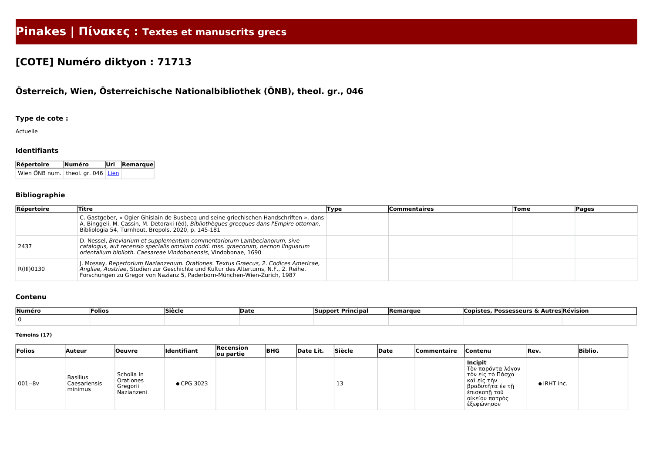# **Pinakes | Πίνακες : Textes et manuscrits grecs**

## **[COTE] Numéro diktyon : 71713**

### **Österreich, Wien, Österreichische Nationalbibliothek (ÖNB), theol. gr., 046**

#### **Type de cote :**

Actuelle

#### **Identifiants**

| Répertoire                          | Numéro | $ Ur $ Remarque |  |  |
|-------------------------------------|--------|-----------------|--|--|
| Wien ÖNB num. theol. gr. 046   Lien |        |                 |  |  |

#### **Bibliographie**

| Répertoire | Titre                                                                                                                                                                                                                                                 | Type | Commentaires | Tome | <b>Pages</b> |
|------------|-------------------------------------------------------------------------------------------------------------------------------------------------------------------------------------------------------------------------------------------------------|------|--------------|------|--------------|
|            | C. Gastgeber, « Ogier Ghislain de Busbecq und seine griechischen Handschriften », dans<br>A. Binggeli, M. Cassin, M. Detoraki (éd), Bibliothèques grecques dans l'Empire ottoman,<br>Bibliologia 54, Turnhout, Brepols, 2020, p. 145-181              |      |              |      |              |
| 2437       | D. Nessel, Breviarium et supplementum commentariorum Lambecianorum, sive<br>catalogus, aut recensio specialis omnium codd. mss. graecorum, necnon linguarum<br>orientalium biblioth. Caesareae Vindobonensis, Vindobonae, 1690                        |      |              |      |              |
| R(III)0130 | . Mossay, Repertorium Nazianzenum. Orationes. Textus Graecus, 2. Codices Americae,<br>Angliae, Austriae, Studien zur Geschichte und Kultur des Altertums, N.F., 2. Reihe.<br>Forschungen zu Gregor von Nazianz 5, Paderborn-München-Wien-Zurich, 1987 |      |              |      |              |

#### **Contenu**

| Numéro | Folios | Siècle | Date | <b>Principal</b><br><b>Support</b> | Remarque | . Possesseurs & Autres Révision<br><b>Copistes</b> |  |
|--------|--------|--------|------|------------------------------------|----------|----------------------------------------------------|--|
|        |        |        |      |                                    |          |                                                    |  |

#### **Témoins (17)**

| Folios     | <b>Auteur</b>                              | Oeuvre                                              | <b>Identifiant</b> | Recension<br>ou partie | <b>BHG</b> | Date Lit. | Siècle | Date | Commentaire | <b>Contenu</b>                                                                                                                           | <b>Rev.</b>         | <b>Biblio.</b> |
|------------|--------------------------------------------|-----------------------------------------------------|--------------------|------------------------|------------|-----------|--------|------|-------------|------------------------------------------------------------------------------------------------------------------------------------------|---------------------|----------------|
| $ 001-8v $ | <b>Basilius</b><br>Caesariensis<br>minimus | ' Scholia In<br>Orationes<br>Gregorii<br>Nazianzeni | ● CPG 3023         |                        |            |           | 3 ل    |      |             | Incipit<br>Τὸν παρόντα λόγον<br>τὸν εἰς τὸ Πάσχα<br>καὶ εἰς τὴν<br>  βραδυτῆτα ἐν τῆ<br>έπισκοπῆ τοῦ<br>∣ οἰκείου πατρὸς<br>∣ ἐξεφώνησον | $\bullet$ IRHT inc. |                |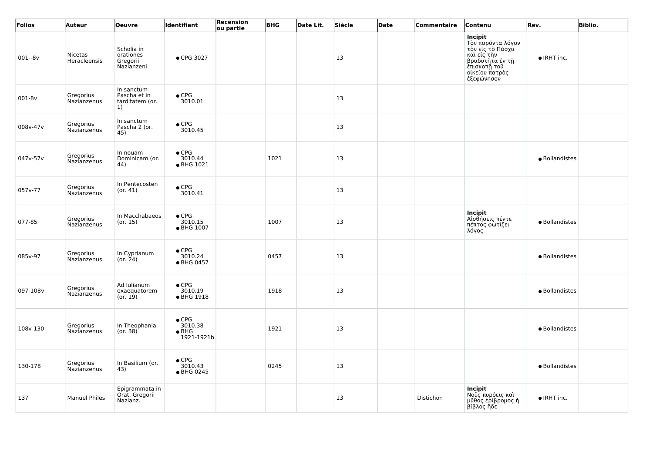| Folios     | Auteur                         | <b>Oeuvre</b>                                       | <b>Identifiant</b>                                      | Recension<br>ou partie | <b>BHG</b> | Date Lit. | Siècle | Date | Commentaire | Contenu                                                                                                                            | Rev.           | <b>Biblio.</b> |
|------------|--------------------------------|-----------------------------------------------------|---------------------------------------------------------|------------------------|------------|-----------|--------|------|-------------|------------------------------------------------------------------------------------------------------------------------------------|----------------|----------------|
| $001 - 8v$ | <b>Nicetas</b><br>Heracleensis | Scholia in<br>orationes<br>Gregorii<br>Nazianzeni   | • CPG 3027                                              |                        |            |           | 13     |      |             | Incipit<br>Τὸν παρόντα λόγον<br>τὸν εἰς τὸ Πάσχα<br>και είς την<br>βραδυτῆτα ἐν τῆ<br>έπισκοπἦ τοῦ<br>οίκείου πατρὸς<br>έξεφώνησον | • IRHT inc.    |                |
| 001-8v     | Gregorius<br>Nazianzenus       | In sanctum<br>Pascha et in<br>tarditatem (or.<br>1) | $\bullet$ CPG<br>3010.01                                |                        |            |           | 13     |      |             |                                                                                                                                    |                |                |
| 008v-47v   | Gregorius<br>Nazianzenus       | In sanctum<br>Pascha 2 (or.<br>45)                  | $\bullet$ CPG<br>3010.45                                |                        |            |           | 13     |      |             |                                                                                                                                    |                |                |
| 047v-57v   | Gregorius<br>Nazianzenus       | In nouam<br>Dominicam (or.<br>44)                   | $\bullet$ CPG<br>3010.44<br>• BHG 1021                  |                        | 1021       |           | 13     |      |             |                                                                                                                                    | · Bollandistes |                |
| 057v-77    | Gregorius<br>Nazianzenus       | In Pentecosten<br>(or. 41)                          | $\bullet$ CPG<br>3010.41                                |                        |            |           | 13     |      |             |                                                                                                                                    |                |                |
| 077-85     | Gregorius<br>Nazianzenus       | In Macchabaeos<br>(or. 15)                          | $\bullet$ CPG<br>3010.15<br>• BHG 1007                  |                        | 1007       |           | 13     |      |             | Incipit<br>Αἰσθήσεις πέντε<br>πέπτος φωτίζει<br>λόγος                                                                              | · Bollandistes |                |
| 085v-97    | Gregorius<br>Nazianzenus       | In Cyprianum<br>(or. 24)                            | $\bullet$ CPG<br>3010.24<br>● BHG 0457                  |                        | 0457       |           | 13     |      |             |                                                                                                                                    | · Bollandistes |                |
| 097-108v   | Gregorius<br>Nazianzenus       | Ad Iulianum<br>exaequatorem<br>(or. 19)             | $\bullet$ CPG<br>3010.19<br>• BHG 1918                  |                        | 1918       |           | 13     |      |             |                                                                                                                                    | · Bollandistes |                |
| 108v-130   | Gregorius<br>Nazianzenus       | In Theophania<br>(or. 38)                           | $\bullet$ CPG<br>3010.38<br>$\bullet$ BHG<br>1921-1921b |                        | 1921       |           | 13     |      |             |                                                                                                                                    | · Bollandistes |                |
| 130-178    | Gregorius<br>Nazianzenus       | In Basilium (or.<br>43)                             | $\bullet$ CPG<br>3010.43<br>● BHG 0245                  |                        | 0245       |           | 13     |      |             |                                                                                                                                    | · Bollandistes |                |
| 137        | <b>Manuel Philes</b>           | Epigrammata in<br>Orat. Gregorii<br>Nazianz.        |                                                         |                        |            |           | 13     |      | Distichon   | Incipit<br>Νοῦς πυρόεις καὶ<br>μῦθος ἐρίβρομος ἡ<br>βίβλος ἤδε                                                                     | • IRHT inc.    |                |